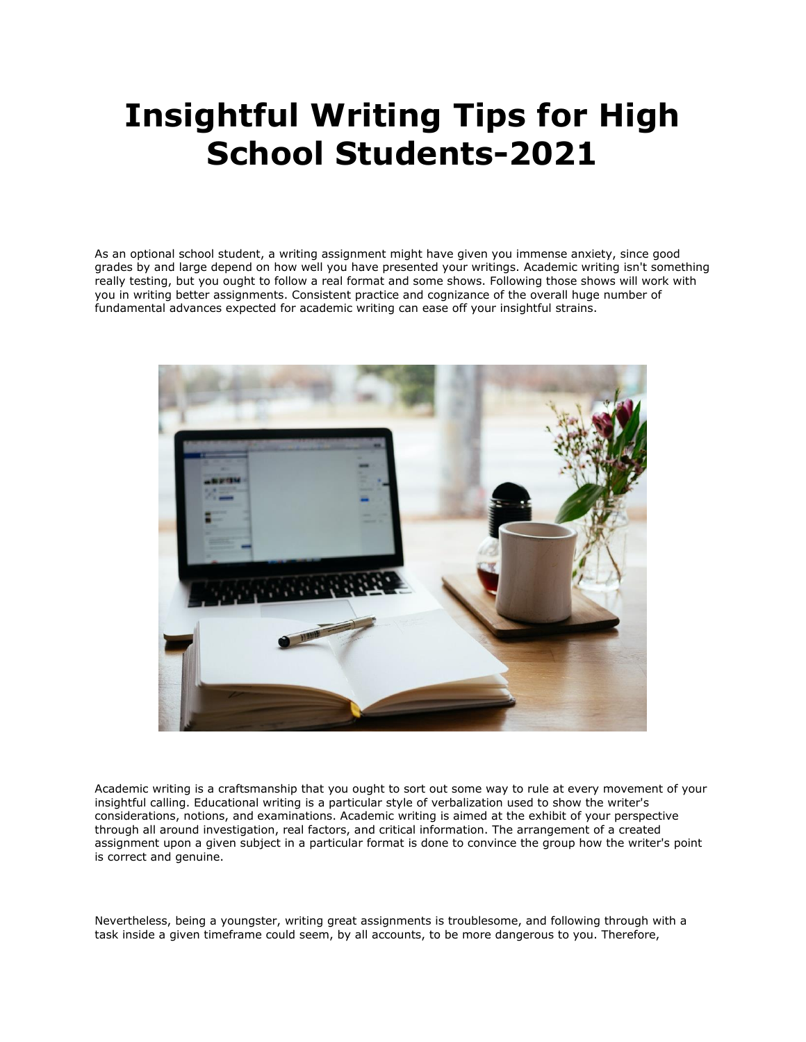# **Insightful Writing Tips for High School Students-2021**

As an optional school student, a writing assignment might have given you immense anxiety, since good grades by and large depend on how well you have presented your writings. Academic writing isn't something really testing, but you ought to follow a real format and some shows. Following those shows will work with you in writing better assignments. Consistent practice and cognizance of the overall huge number of fundamental advances expected for academic writing can ease off your insightful strains.



Academic writing is a craftsmanship that you ought to sort out some way to rule at every movement of your insightful calling. Educational writing is a particular style of verbalization used to show the writer's considerations, notions, and examinations. Academic writing is aimed at the exhibit of your perspective through all around investigation, real factors, and critical information. The arrangement of a created assignment upon a given subject in a particular format is done to convince the group how the writer's point is correct and genuine.

Nevertheless, being a youngster, writing great assignments is troublesome, and following through with a task inside a given timeframe could seem, by all accounts, to be more dangerous to you. Therefore,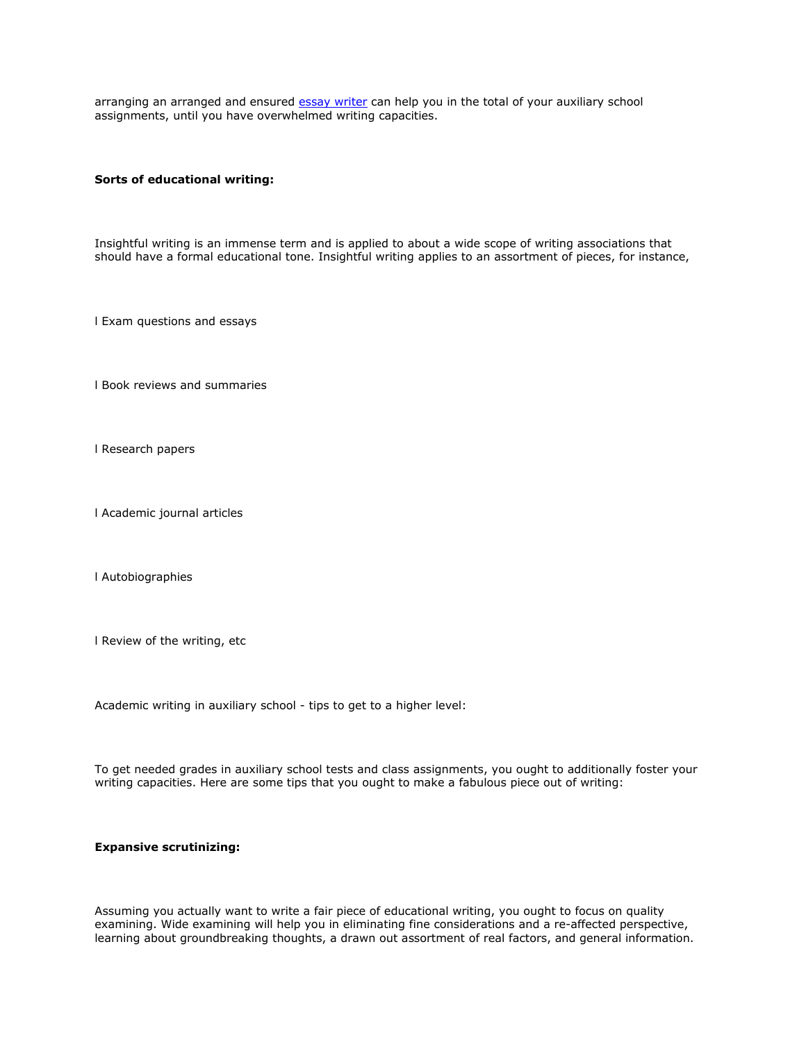arranging an arranged and ensured [essay writer](https://essayhours.com/) can help you in the total of your auxiliary school assignments, until you have overwhelmed writing capacities.

#### **Sorts of educational writing:**

Insightful writing is an immense term and is applied to about a wide scope of writing associations that should have a formal educational tone. Insightful writing applies to an assortment of pieces, for instance,

l Exam questions and essays

l Book reviews and summaries

l Research papers

l Academic journal articles

l Autobiographies

l Review of the writing, etc

Academic writing in auxiliary school - tips to get to a higher level:

To get needed grades in auxiliary school tests and class assignments, you ought to additionally foster your writing capacities. Here are some tips that you ought to make a fabulous piece out of writing:

## **Expansive scrutinizing:**

Assuming you actually want to write a fair piece of educational writing, you ought to focus on quality examining. Wide examining will help you in eliminating fine considerations and a re-affected perspective, learning about groundbreaking thoughts, a drawn out assortment of real factors, and general information.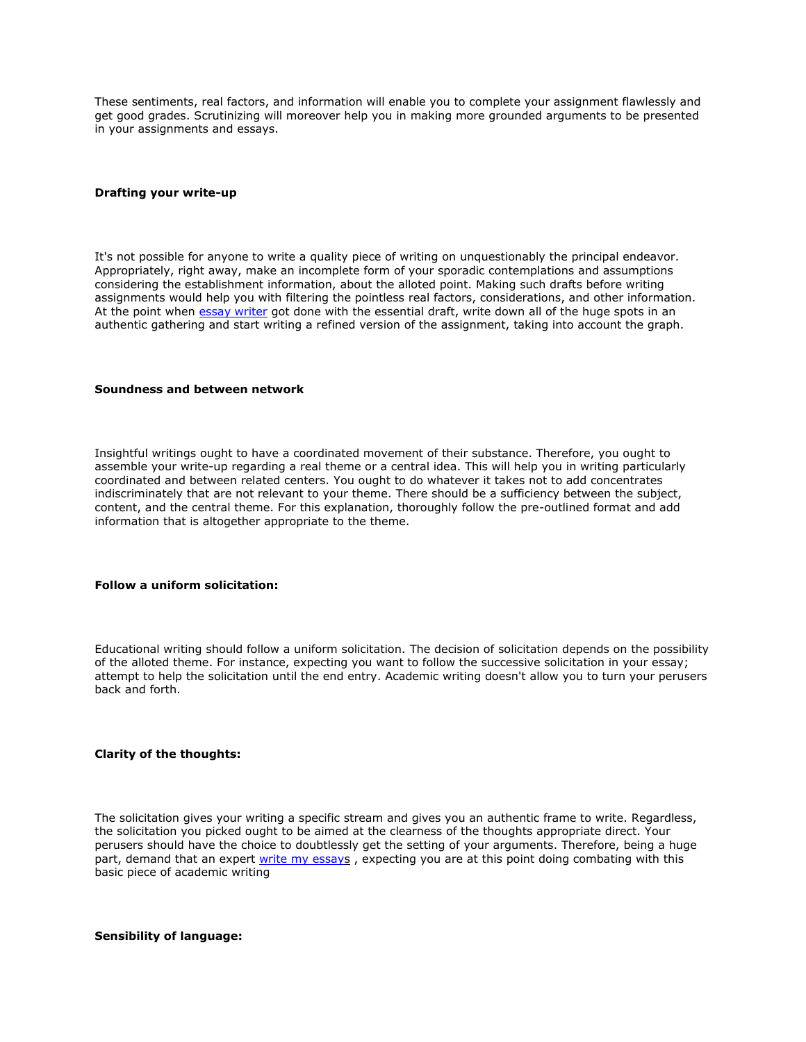These sentiments, real factors, and information will enable you to complete your assignment flawlessly and get good grades. Scrutinizing will moreover help you in making more grounded arguments to be presented in your assignments and essays.

#### **Drafting your write-up**

It's not possible for anyone to write a quality piece of writing on unquestionably the principal endeavor. Appropriately, right away, make an incomplete form of your sporadic contemplations and assumptions considering the establishment information, about the alloted point. Making such drafts before writing assignments would help you with filtering the pointless real factors, considerations, and other information. At the point when [essay writer](https://www.essaywriter.college/) got done with the essential draft, write down all of the huge spots in an authentic gathering and start writing a refined version of the assignment, taking into account the graph.

#### **Soundness and between network**

Insightful writings ought to have a coordinated movement of their substance. Therefore, you ought to assemble your write-up regarding a real theme or a central idea. This will help you in writing particularly coordinated and between related centers. You ought to do whatever it takes not to add concentrates indiscriminately that are not relevant to your theme. There should be a sufficiency between the subject, content, and the central theme. For this explanation, thoroughly follow the pre-outlined format and add information that is altogether appropriate to the theme.

# **Follow a uniform solicitation:**

Educational writing should follow a uniform solicitation. The decision of solicitation depends on the possibility of the alloted theme. For instance, expecting you want to follow the successive solicitation in your essay; attempt to help the solicitation until the end entry. Academic writing doesn't allow you to turn your perusers back and forth.

## **Clarity of the thoughts:**

The solicitation gives your writing a specific stream and gives you an authentic frame to write. Regardless, the solicitation you picked ought to be aimed at the clearness of the thoughts appropriate direct. Your perusers should have the choice to doubtlessly get the setting of your arguments. Therefore, being a huge part, demand that an expert [write my essays](https://www.writemyessay.help/), expecting you are at this point doing combating with this basic piece of academic writing

#### **Sensibility of language:**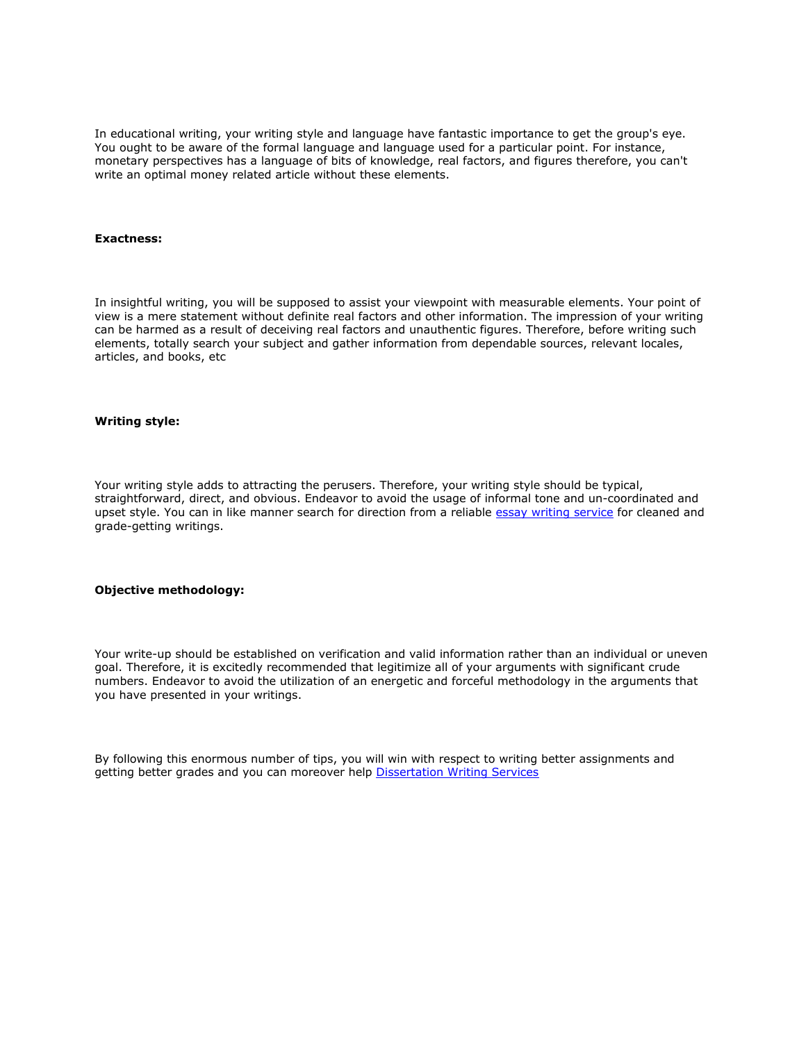In educational writing, your writing style and language have fantastic importance to get the group's eye. You ought to be aware of the formal language and language used for a particular point. For instance, monetary perspectives has a language of bits of knowledge, real factors, and figures therefore, you can't write an optimal money related article without these elements.

#### **Exactness:**

In insightful writing, you will be supposed to assist your viewpoint with measurable elements. Your point of view is a mere statement without definite real factors and other information. The impression of your writing can be harmed as a result of deceiving real factors and unauthentic figures. Therefore, before writing such elements, totally search your subject and gather information from dependable sources, relevant locales, articles, and books, etc

#### **Writing style:**

Your writing style adds to attracting the perusers. Therefore, your writing style should be typical, straightforward, direct, and obvious. Endeavor to avoid the usage of informal tone and un-coordinated and upset style. You can in like manner search for direction from a reliable [essay writing service](https://www.collegeessay.org/) for cleaned and grade-getting writings.

## **Objective methodology:**

Your write-up should be established on verification and valid information rather than an individual or uneven goal. Therefore, it is excitedly recommended that legitimize all of your arguments with significant crude numbers. Endeavor to avoid the utilization of an energetic and forceful methodology in the arguments that you have presented in your writings.

By following this enormous number of tips, you will win with respect to writing better assignments and getting better grades and you can moreover help [Dissertation Writing Services](https://gradschoolgenius.com/)